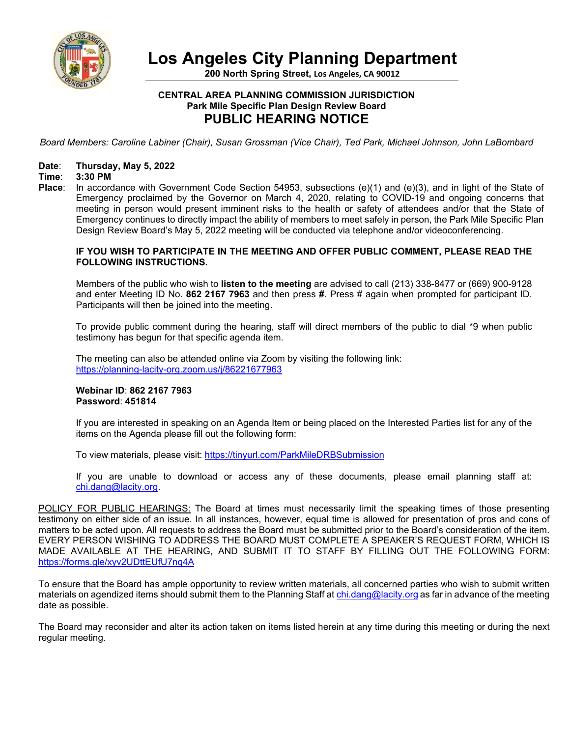

**Los Angeles City Planning Department**

**200 North Spring Street, Los Angeles, CA 90012**

# **CENTRAL AREA PLANNING COMMISSION JURISDICTION Park Mile Specific Plan Design Review Board PUBLIC HEARING NOTICE**

*Board Members: Caroline Labiner (Chair), Susan Grossman (Vice Chair), Ted Park, Michael Johnson, John LaBombard*

#### **Date**: **Thursday, May 5, 2022**

#### **Time**: **3:30 PM**

**Place**: In accordance with Government Code Section 54953, subsections (e)(1) and (e)(3), and in light of the State of Emergency proclaimed by the Governor on March 4, 2020, relating to COVID-19 and ongoing concerns that meeting in person would present imminent risks to the health or safety of attendees and/or that the State of Emergency continues to directly impact the ability of members to meet safely in person, the Park Mile Specific Plan Design Review Board's May 5, 2022 meeting will be conducted via telephone and/or videoconferencing.

### **IF YOU WISH TO PARTICIPATE IN THE MEETING AND OFFER PUBLIC COMMENT, PLEASE READ THE FOLLOWING INSTRUCTIONS.**

Members of the public who wish to **listen to the meeting** are advised to call (213) 338-8477 or (669) 900-9128 and enter Meeting ID No. **862 2167 7963** and then press **#**. Press # again when prompted for participant ID. Participants will then be joined into the meeting.

To provide public comment during the hearing, staff will direct members of the public to dial \*9 when public testimony has begun for that specific agenda item.

The meeting can also be attended online via Zoom by visiting the following link: <https://planning-lacity-org.zoom.us/j/86221677963>

### **Webinar ID**: **862 2167 7963 Password**: **451814**

If you are interested in speaking on an Agenda Item or being placed on the Interested Parties list for any of the items on the Agenda please fill out the following form:

To view materials, please visit: <https://tinyurl.com/ParkMileDRBSubmission>

If you are unable to download or access any of these documents, please email planning staff at: [chi.dang@lacity.org.](mailto:chi.dang@lacity.org)

POLICY FOR PUBLIC HEARINGS: The Board at times must necessarily limit the speaking times of those presenting testimony on either side of an issue. In all instances, however, equal time is allowed for presentation of pros and cons of matters to be acted upon. All requests to address the Board must be submitted prior to the Board's consideration of the item. EVERY PERSON WISHING TO ADDRESS THE BOARD MUST COMPLETE A SPEAKER'S REQUEST FORM, WHICH IS MADE AVAILABLE AT THE HEARING, AND SUBMIT IT TO STAFF BY FILLING OUT THE FOLLOWING FORM: <https://forms.gle/xyv2UDttEUfU7nq4A>

To ensure that the Board has ample opportunity to review written materials, all concerned parties who wish to submit written materials on agendized items should submit them to the Planning Staff a[t chi.dang@lacity.org](mailto:adrineh.melkonian@lacity.org) as far in advance of the meeting date as possible.

The Board may reconsider and alter its action taken on items listed herein at any time during this meeting or during the next regular meeting.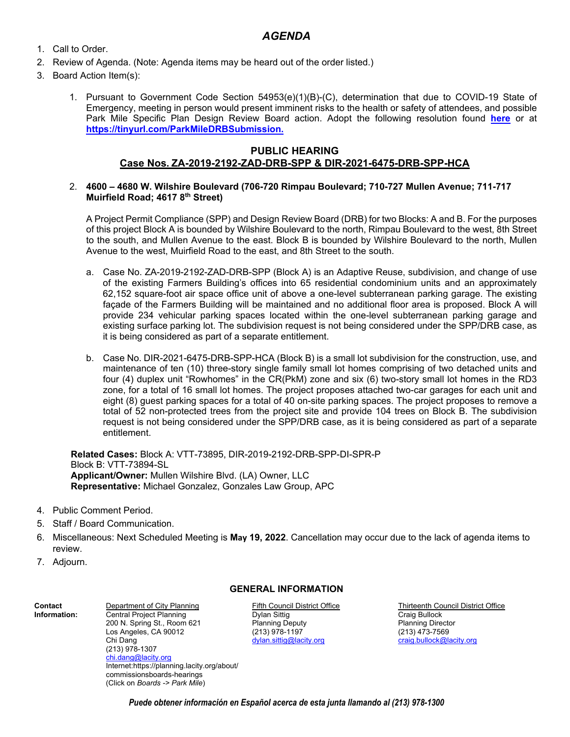# *AGENDA*

- 1. Call to Order.
- 2. Review of Agenda. (Note: Agenda items may be heard out of the order listed.)
- 3. Board Action Item(s):
	- 1. Pursuant to Government Code Section 54953(e)(1)(B)-(C), determination that due to COVID-19 State of Emergency, meeting in person would present imminent risks to the health or safety of attendees, and possible Park Mile Specific Plan Design Review Board action. Adopt the following resolution found **[here](https://drive.google.com/file/d/1r_ybVpJX6ovjGbnkyrxUnen08hmRXrI8/view?usp=sharing)** or at **[https://tinyurl.com/ParkMileDRBSubmission.](https://tinyurl.com/ParkMileDRBSubmission)**

# **PUBLIC HEARING Case Nos. ZA-2019-2192-ZAD-DRB-SPP & DIR-2021-6475-DRB-SPP-HCA**

## 2. **4600 – 4680 W. Wilshire Boulevard (706-720 Rimpau Boulevard; 710-727 Mullen Avenue; 711-717 Muirfield Road; 4617 8th Street)**

A Project Permit Compliance (SPP) and Design Review Board (DRB) for two Blocks: A and B. For the purposes of this project Block A is bounded by Wilshire Boulevard to the north, Rimpau Boulevard to the west, 8th Street to the south, and Mullen Avenue to the east. Block B is bounded by Wilshire Boulevard to the north, Mullen Avenue to the west, Muirfield Road to the east, and 8th Street to the south.

- a. Case No. ZA-2019-2192-ZAD-DRB-SPP (Block A) is an Adaptive Reuse, subdivision, and change of use of the existing Farmers Building's offices into 65 residential condominium units and an approximately 62,152 square-foot air space office unit of above a one-level subterranean parking garage. The existing façade of the Farmers Building will be maintained and no additional floor area is proposed. Block A will provide 234 vehicular parking spaces located within the one-level subterranean parking garage and existing surface parking lot. The subdivision request is not being considered under the SPP/DRB case, as it is being considered as part of a separate entitlement.
- b. Case No. DIR-2021-6475-DRB-SPP-HCA (Block B) is a small lot subdivision for the construction, use, and maintenance of ten (10) three-story single family small lot homes comprising of two detached units and four (4) duplex unit "Rowhomes" in the CR(PkM) zone and six (6) two-story small lot homes in the RD3 zone, for a total of 16 small lot homes. The project proposes attached two-car garages for each unit and eight (8) guest parking spaces for a total of 40 on-site parking spaces. The project proposes to remove a total of 52 non-protected trees from the project site and provide 104 trees on Block B. The subdivision request is not being considered under the SPP/DRB case, as it is being considered as part of a separate entitlement.

**Related Cases:** Block A: VTT-73895, DIR-2019-2192-DRB-SPP-DI-SPR-P Block B: VTT-73894-SL **Applicant/Owner:** Mullen Wilshire Blvd. (LA) Owner, LLC **Representative:** Michael Gonzalez, Gonzales Law Group, APC

- 4. Public Comment Period.
- 5. Staff / Board Communication.
- 6. Miscellaneous: Next Scheduled Meeting is **May 19, 2022**. Cancellation may occur due to the lack of agenda items to review.
- 7. Adjourn.

**Contact Information:** 

# **GENERAL INFORMATION**

Fifth Council District Office Dylan Sittig Planning Deputy (213) 978-1197 [dylan.sittig@lacity.org](mailto:dylan.sittig@lacity.org)

Thirteenth Council District Office Craig Bullock Planning Director (213) 473-7569 [craig.bullock@lacity.org](mailto:craig.bullock@lacity.org)

Department of City Planning Central Project Planning 200 N. Spring St., Room 621 Los Angeles, CA 90012 Chi Dang (213) 978-1307 [chi.dang@lacity.org](mailto:adrineh.melkonian@lacity.org) Internet:https://planning.lacity.org/about/ commissionsboards-hearings (Click on *Boards -> Park Mile*)

*Puede obtener información en Español acerca de esta junta llamando al (213) 978-1300*